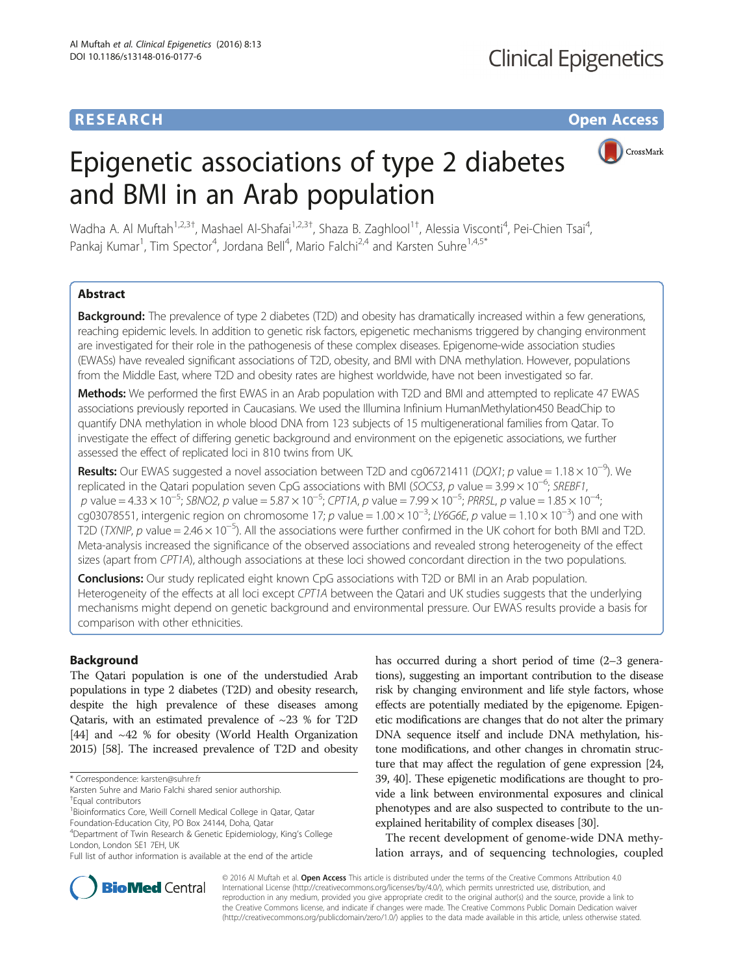## **RESEARCH CHE Open Access**

# CrossMark

# Epigenetic associations of type 2 diabetes and BMI in an Arab population

Wadha A. Al Muftah<sup>1,2,3†</sup>, Mashael Al-Shafai<sup>1,2,3†</sup>, Shaza B. Zaghlool<sup>1†</sup>, Alessia Visconti<sup>4</sup>, Pei-Chien Tsai<sup>4</sup> , Pankaj Kumar<sup>1</sup>, Tim Spector<sup>4</sup>, Jordana Bell<sup>4</sup>, Mario Falchi<sup>2,4</sup> and Karsten Suhre<sup>1,4,5\*</sup>

## Abstract

**Background:** The prevalence of type 2 diabetes (T2D) and obesity has dramatically increased within a few generations, reaching epidemic levels. In addition to genetic risk factors, epigenetic mechanisms triggered by changing environment are investigated for their role in the pathogenesis of these complex diseases. Epigenome-wide association studies (EWASs) have revealed significant associations of T2D, obesity, and BMI with DNA methylation. However, populations from the Middle East, where T2D and obesity rates are highest worldwide, have not been investigated so far.

Methods: We performed the first EWAS in an Arab population with T2D and BMI and attempted to replicate 47 EWAS associations previously reported in Caucasians. We used the Illumina Infinium HumanMethylation450 BeadChip to quantify DNA methylation in whole blood DNA from 123 subjects of 15 multigenerational families from Qatar. To investigate the effect of differing genetic background and environment on the epigenetic associations, we further assessed the effect of replicated loci in 810 twins from UK.

Results: Our EWAS suggested a novel association between T2D and cg06721411 (DQX1; p value = 1.18 × 10<sup>-9</sup>). We replicated in the Qatari population seven CpG associations with BMI (SOCS3, p value = 3.99 × 10<sup>-6</sup>; SREBF1, p value = 4.33 × 10<sup>-5</sup>; SBNO2, p value = 5.87 × 10<sup>-5</sup>; CPT1A, p value = 7.99 × 10<sup>-5</sup>; PRR5L, p value = 1.85 × 10<sup>-4</sup> ; cg03078551, intergenic region on chromosome 17; p value =  $1.00 \times 10^{-3}$ ; LY6G6E, p value =  $1.10 \times 10^{-3}$ ) and one with T2D (TXNIP, p value = 2.46 × 10<sup>-5</sup>). All the associations were further confirmed in the UK cohort for both BMI and T2D. Meta-analysis increased the significance of the observed associations and revealed strong heterogeneity of the effect sizes (apart from CPT1A), although associations at these loci showed concordant direction in the two populations.

**Conclusions:** Our study replicated eight known CpG associations with T2D or BMI in an Arab population. Heterogeneity of the effects at all loci except CPT1A between the Qatari and UK studies suggests that the underlying mechanisms might depend on genetic background and environmental pressure. Our EWAS results provide a basis for comparison with other ethnicities.

## Background

The Qatari population is one of the understudied Arab populations in type 2 diabetes (T2D) and obesity research, despite the high prevalence of these diseases among Qataris, with an estimated prevalence of  $\sim$ 23 % for T2D [[44](#page-9-0)] and ~42 % for obesity (World Health Organization 2015) [[58](#page-9-0)]. The increased prevalence of T2D and obesity

Foundation-Education City, PO Box 24144, Doha, Qatar

has occurred during a short period of time  $(2-3)$  generations), suggesting an important contribution to the disease risk by changing environment and life style factors, whose effects are potentially mediated by the epigenome. Epigenetic modifications are changes that do not alter the primary DNA sequence itself and include DNA methylation, histone modifications, and other changes in chromatin structure that may affect the regulation of gene expression [\[24](#page-9-0), [39](#page-9-0), [40\]](#page-9-0). These epigenetic modifications are thought to provide a link between environmental exposures and clinical phenotypes and are also suspected to contribute to the unexplained heritability of complex diseases [[30](#page-9-0)].

The recent development of genome-wide DNA methylation arrays, and of sequencing technologies, coupled



© 2016 Al Muftah et al. Open Access This article is distributed under the terms of the Creative Commons Attribution 4.0 International License [\(http://creativecommons.org/licenses/by/4.0/](http://creativecommons.org/licenses/by/4.0/)), which permits unrestricted use, distribution, and reproduction in any medium, provided you give appropriate credit to the original author(s) and the source, provide a link to the Creative Commons license, and indicate if changes were made. The Creative Commons Public Domain Dedication waiver [\(http://creativecommons.org/publicdomain/zero/1.0/](http://creativecommons.org/publicdomain/zero/1.0/)) applies to the data made available in this article, unless otherwise stated.

<sup>\*</sup> Correspondence: [karsten@suhre.fr](mailto:karsten@suhre.fr)

Karsten Suhre and Mario Falchi shared senior authorship. † Equal contributors

<sup>&</sup>lt;sup>1</sup> Bioinformatics Core, Weill Cornell Medical College in Qatar, Qatar

<sup>4</sup> Department of Twin Research & Genetic Epidemiology, King's College London, London SE1 7EH, UK

Full list of author information is available at the end of the article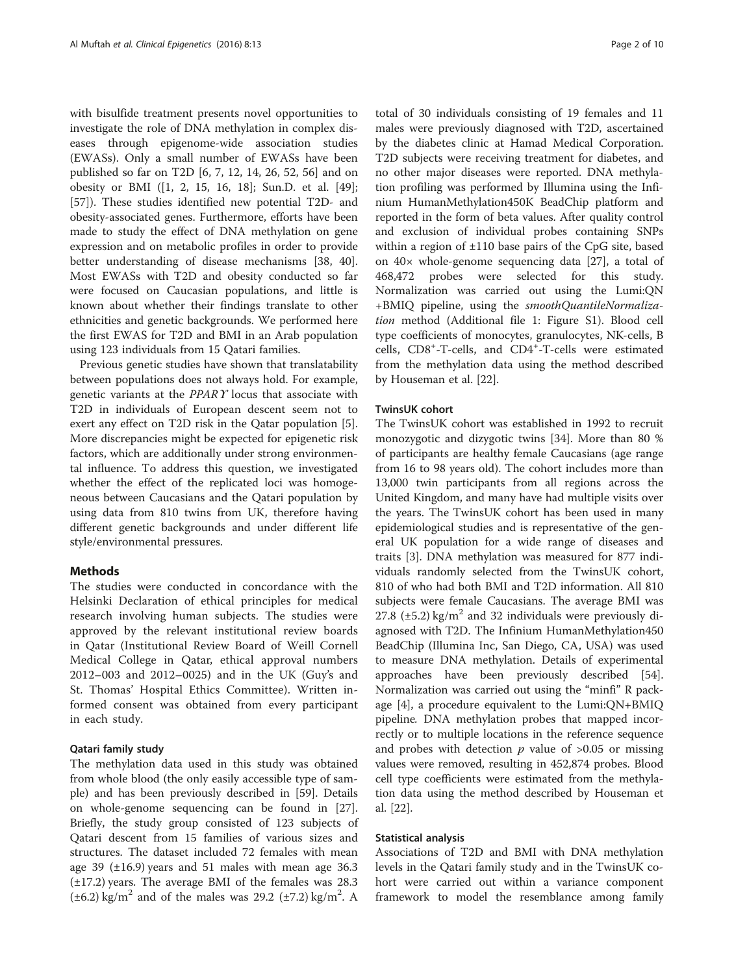with bisulfide treatment presents novel opportunities to investigate the role of DNA methylation in complex diseases through epigenome-wide association studies (EWASs). Only a small number of EWASs have been published so far on T2D [\[6](#page-8-0), [7, 12, 14,](#page-8-0) [26](#page-9-0), [52](#page-9-0), [56](#page-9-0)] and on obesity or BMI ([[1, 2](#page-8-0), [15](#page-8-0), [16](#page-9-0), [18](#page-9-0)]; Sun.D. et al. [\[49](#page-9-0)]; [[57\]](#page-9-0)). These studies identified new potential T2D- and obesity-associated genes. Furthermore, efforts have been made to study the effect of DNA methylation on gene expression and on metabolic profiles in order to provide better understanding of disease mechanisms [[38, 40](#page-9-0)]. Most EWASs with T2D and obesity conducted so far were focused on Caucasian populations, and little is known about whether their findings translate to other ethnicities and genetic backgrounds. We performed here the first EWAS for T2D and BMI in an Arab population using 123 individuals from 15 Qatari families.

Previous genetic studies have shown that translatability between populations does not always hold. For example, genetic variants at the PPARϒ locus that associate with T2D in individuals of European descent seem not to exert any effect on T2D risk in the Qatar population [\[5](#page-8-0)]. More discrepancies might be expected for epigenetic risk factors, which are additionally under strong environmental influence. To address this question, we investigated whether the effect of the replicated loci was homogeneous between Caucasians and the Qatari population by using data from 810 twins from UK, therefore having different genetic backgrounds and under different life style/environmental pressures.

## Methods

The studies were conducted in concordance with the Helsinki Declaration of ethical principles for medical research involving human subjects. The studies were approved by the relevant institutional review boards in Qatar (Institutional Review Board of Weill Cornell Medical College in Qatar, ethical approval numbers 2012–003 and 2012–0025) and in the UK (Guy's and St. Thomas' Hospital Ethics Committee). Written informed consent was obtained from every participant in each study.

#### Qatari family study

The methylation data used in this study was obtained from whole blood (the only easily accessible type of sample) and has been previously described in [[59\]](#page-9-0). Details on whole-genome sequencing can be found in [\[27](#page-9-0)]. Briefly, the study group consisted of 123 subjects of Qatari descent from 15 families of various sizes and structures. The dataset included 72 females with mean age 39 (±16.9) years and 51 males with mean age 36.3 (±17.2) years. The average BMI of the females was 28.3  $(\pm 6.2)$  kg/m<sup>2</sup> and of the males was 29.2 ( $\pm 7.2$ ) kg/m<sup>2</sup>. A

total of 30 individuals consisting of 19 females and 11 males were previously diagnosed with T2D, ascertained by the diabetes clinic at Hamad Medical Corporation. T2D subjects were receiving treatment for diabetes, and no other major diseases were reported. DNA methylation profiling was performed by Illumina using the Infinium HumanMethylation450K BeadChip platform and reported in the form of beta values. After quality control and exclusion of individual probes containing SNPs within a region of ±110 base pairs of the CpG site, based on 40× whole-genome sequencing data [\[27](#page-9-0)], a total of 468,472 probes were selected for this study. Normalization was carried out using the Lumi:QN +BMIQ pipeline, using the smoothQuantileNormalization method (Additional file [1:](#page-8-0) Figure S1). Blood cell type coefficients of monocytes, granulocytes, NK-cells, B cells, CD8<sup>+</sup>-T-cells, and CD4<sup>+</sup>-T-cells were estimated from the methylation data using the method described by Houseman et al. [[22\]](#page-9-0).

## TwinsUK cohort

The TwinsUK cohort was established in 1992 to recruit monozygotic and dizygotic twins [[34\]](#page-9-0). More than 80 % of participants are healthy female Caucasians (age range from 16 to 98 years old). The cohort includes more than 13,000 twin participants from all regions across the United Kingdom, and many have had multiple visits over the years. The TwinsUK cohort has been used in many epidemiological studies and is representative of the general UK population for a wide range of diseases and traits [\[3](#page-8-0)]. DNA methylation was measured for 877 individuals randomly selected from the TwinsUK cohort, 810 of who had both BMI and T2D information. All 810 subjects were female Caucasians. The average BMI was 27.8 ( $\pm$ 5.2) kg/m<sup>2</sup> and 32 individuals were previously diagnosed with T2D. The Infinium HumanMethylation450 BeadChip (Illumina Inc, San Diego, CA, USA) was used to measure DNA methylation. Details of experimental approaches have been previously described [\[54](#page-9-0)]. Normalization was carried out using the "minfi" R package [\[4](#page-8-0)], a procedure equivalent to the Lumi:QN+BMIQ pipeline. DNA methylation probes that mapped incorrectly or to multiple locations in the reference sequence and probes with detection  $p$  value of  $>0.05$  or missing values were removed, resulting in 452,874 probes. Blood cell type coefficients were estimated from the methylation data using the method described by Houseman et al. [[22\]](#page-9-0).

#### Statistical analysis

Associations of T2D and BMI with DNA methylation levels in the Qatari family study and in the TwinsUK cohort were carried out within a variance component framework to model the resemblance among family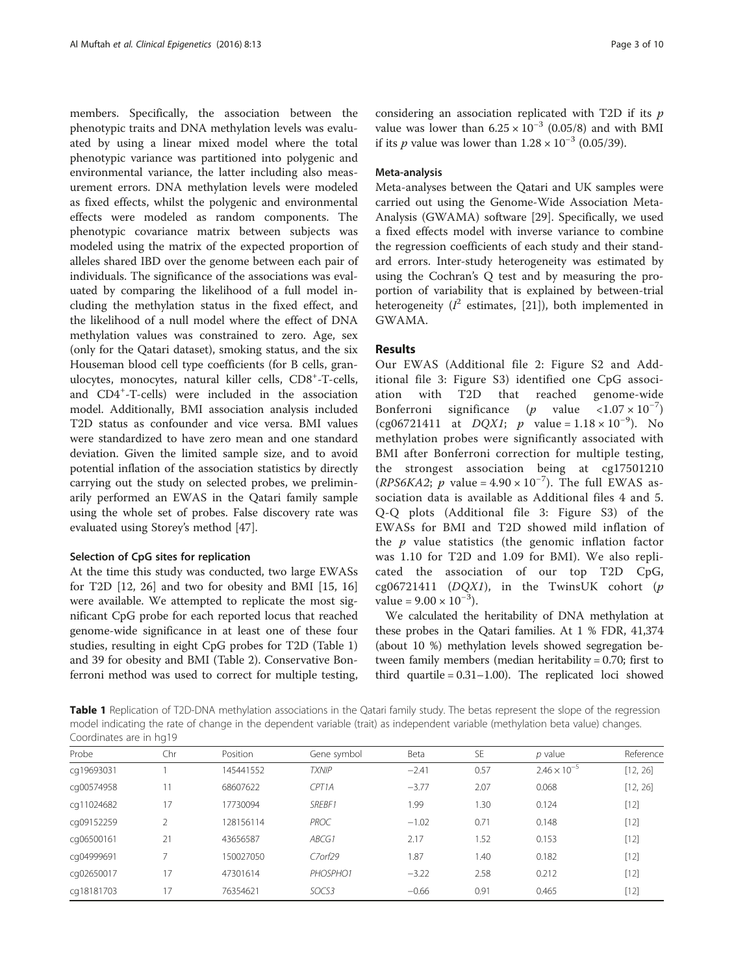<span id="page-2-0"></span>members. Specifically, the association between the phenotypic traits and DNA methylation levels was evaluated by using a linear mixed model where the total phenotypic variance was partitioned into polygenic and environmental variance, the latter including also measurement errors. DNA methylation levels were modeled as fixed effects, whilst the polygenic and environmental effects were modeled as random components. The phenotypic covariance matrix between subjects was modeled using the matrix of the expected proportion of alleles shared IBD over the genome between each pair of individuals. The significance of the associations was evaluated by comparing the likelihood of a full model including the methylation status in the fixed effect, and the likelihood of a null model where the effect of DNA methylation values was constrained to zero. Age, sex (only for the Qatari dataset), smoking status, and the six Houseman blood cell type coefficients (for B cells, granulocytes, monocytes, natural killer cells, CD8<sup>+</sup>-T-cells, and CD4<sup>+</sup> -T-cells) were included in the association model. Additionally, BMI association analysis included T2D status as confounder and vice versa. BMI values were standardized to have zero mean and one standard deviation. Given the limited sample size, and to avoid potential inflation of the association statistics by directly carrying out the study on selected probes, we preliminarily performed an EWAS in the Qatari family sample using the whole set of probes. False discovery rate was evaluated using Storey's method [\[47\]](#page-9-0).

#### Selection of CpG sites for replication

At the time this study was conducted, two large EWASs for T2D [\[12,](#page-8-0) [26\]](#page-9-0) and two for obesity and BMI [[15](#page-8-0), [16](#page-9-0)] were available. We attempted to replicate the most significant CpG probe for each reported locus that reached genome-wide significance in at least one of these four studies, resulting in eight CpG probes for T2D (Table 1) and 39 for obesity and BMI (Table [2](#page-3-0)). Conservative Bonferroni method was used to correct for multiple testing, considering an association replicated with T2D if its  $p$ value was lower than  $6.25 \times 10^{-3}$  (0.05/8) and with BMI if its *p* value was lower than  $1.28 \times 10^{-3}$  (0.05/39).

### Meta-analysis

Meta-analyses between the Qatari and UK samples were carried out using the Genome-Wide Association Meta-Analysis (GWAMA) software [\[29](#page-9-0)]. Specifically, we used a fixed effects model with inverse variance to combine the regression coefficients of each study and their standard errors. Inter-study heterogeneity was estimated by using the Cochran's Q test and by measuring the proportion of variability that is explained by between-trial heterogeneity ( $I^2$  estimates, [[21](#page-9-0)]), both implemented in GWAMA.

## Results

Our EWAS (Additional file [2](#page-8-0): Figure S2 and Additional file [3](#page-8-0): Figure S3) identified one CpG association with T2D that reached genome-wide Bonferroni significance  $(p$  value  $\langle 1.07 \times 10^{-7} \rangle$ (cg06721411 at  $DQXI$ ; p value = 1.18 × 10<sup>-9</sup>). No methylation probes were significantly associated with BMI after Bonferroni correction for multiple testing, the strongest association being at cg17501210  $(RPS6KA2; p value = 4.90 \times 10^{-7})$ . The full EWAS association data is available as Additional files [4](#page-8-0) and [5](#page-8-0). Q-Q plots (Additional file [3:](#page-8-0) Figure S3) of the EWASs for BMI and T2D showed mild inflation of the  $p$  value statistics (the genomic inflation factor was 1.10 for T2D and 1.09 for BMI). We also replicated the association of our top T2D CpG, cg06721411 ( $DQX1$ ), in the TwinsUK cohort (p value =  $9.00 \times 10^{-3}$ ).

We calculated the heritability of DNA methylation at these probes in the Qatari families. At 1 % FDR, 41,374 (about 10 %) methylation levels showed segregation between family members (median heritability = 0.70; first to third quartile  $= 0.31 - 1.00$ . The replicated loci showed

Table 1 Replication of T2D-DNA methylation associations in the Qatari family study. The betas represent the slope of the regression model indicating the rate of change in the dependent variable (trait) as independent variable (methylation beta value) changes. Coordinates are in hg19

| Probe      | Chr                      | Position  | Gene symbol   | Beta    | <b>SE</b> | $p$ value             | Reference |
|------------|--------------------------|-----------|---------------|---------|-----------|-----------------------|-----------|
| cq19693031 |                          | 145441552 | <b>TXNIP</b>  | $-2.41$ | 0.57      | $2.46 \times 10^{-5}$ | [12, 26]  |
| cg00574958 | 11                       | 68607622  | CPT1A         | $-3.77$ | 2.07      | 0.068                 | [12, 26]  |
| cq11024682 | 17                       | 17730094  | SREBF1        | 1.99    | 1.30      | 0.124                 | $[12]$    |
| cq09152259 | 2                        | 128156114 | PROC          | $-1.02$ | 0.71      | 0.148                 | $[12]$    |
| cq06500161 | 21                       | 43656587  | ABCG1         | 2.17    | 1.52      | 0.153                 | $[12]$    |
| cg04999691 | $\overline{\phantom{0}}$ | 150027050 | $C7$ orf $29$ | 1.87    | 1.40      | 0.182                 | $[12]$    |
| cq02650017 | 17                       | 47301614  | PHOSPHO1      | $-3.22$ | 2.58      | 0.212                 | $[12]$    |
| cq18181703 | 17                       | 76354621  | SOCS3         | $-0.66$ | 0.91      | 0.465                 | $[12]$    |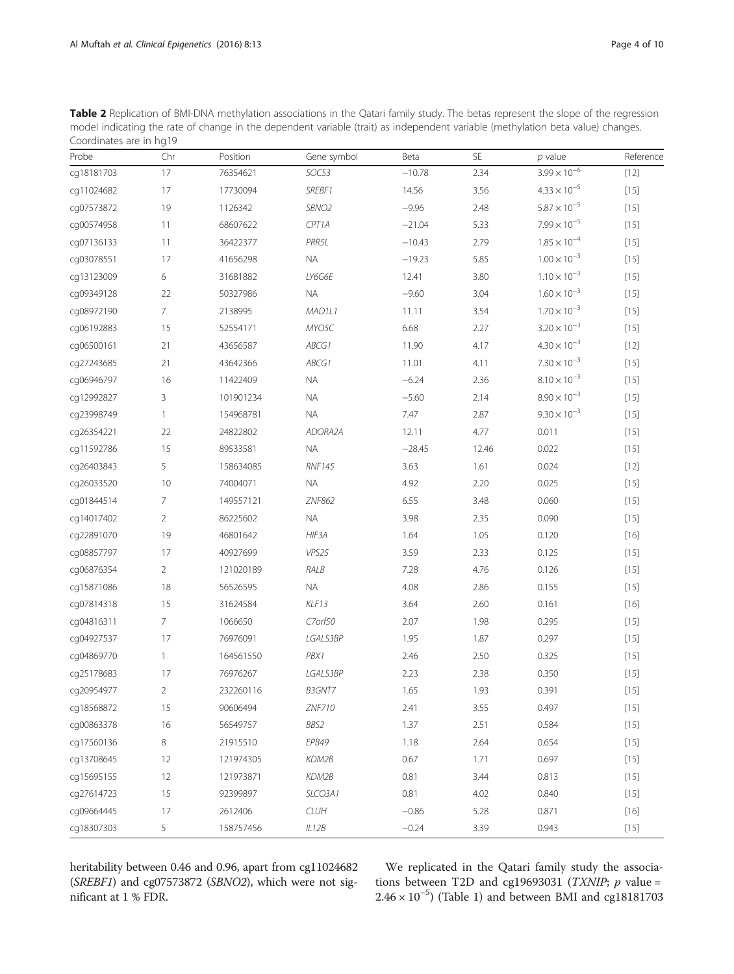<span id="page-3-0"></span>Table 2 Replication of BMI-DNA methylation associations in the Qatari family study. The betas represent the slope of the regression model indicating the rate of change in the dependent variable (trait) as independent variable (methylation beta value) changes. Coordinates are in hg19

| Probe      | Chr            | Position  | Gene symbol       | Beta     | SE    | $p$ value             | Reference |
|------------|----------------|-----------|-------------------|----------|-------|-----------------------|-----------|
| cg18181703 | 17             | 76354621  | SOCS3             | $-10.78$ | 2.34  | $3.99 \times 10^{-6}$ | $[12]$    |
| cg11024682 | 17             | 17730094  | SREBF1            | 14.56    | 3.56  | $4.33 \times 10^{-5}$ | $[15]$    |
| cg07573872 | 19             | 1126342   | SBNO <sub>2</sub> | $-9.96$  | 2.48  | $5.87 \times 10^{-5}$ | $[15]$    |
| cg00574958 | 11             | 68607622  | CPT1A             | $-21.04$ | 5.33  | $7.99 \times 10^{-5}$ | $[15]$    |
| cg07136133 | 11             | 36422377  | PRR5L             | $-10.43$ | 2.79  | $1.85 \times 10^{-4}$ | $[15]$    |
| cg03078551 | 17             | 41656298  | NA                | $-19.23$ | 5.85  | $1.00 \times 10^{-3}$ | $[15]$    |
| cg13123009 | 6              | 31681882  | LY6G6E            | 12.41    | 3.80  | $1.10 \times 10^{-3}$ | $[15]$    |
| cg09349128 | 22             | 50327986  | <b>NA</b>         | $-9.60$  | 3.04  | $1.60 \times 10^{-3}$ | $[15]$    |
| cg08972190 | 7              | 2138995   | MAD1L1            | 11.11    | 3.54  | $1.70 \times 10^{-3}$ | $[15]$    |
| cg06192883 | 15             | 52554171  | MYO5C             | 6.68     | 2.27  | $3.20 \times 10^{-3}$ | $[15]$    |
| cg06500161 | 21             | 43656587  | ABCG1             | 11.90    | 4.17  | $4.30 \times 10^{-3}$ | $[12]$    |
| cg27243685 | 21             | 43642366  | ABCG1             | 11.01    | 4.11  | $7.30 \times 10^{-3}$ | $[15]$    |
| cg06946797 | 16             | 11422409  | NA                | $-6.24$  | 2.36  | $8.10 \times 10^{-3}$ | $[15]$    |
| cg12992827 | 3              | 101901234 | <b>NA</b>         | $-5.60$  | 2.14  | $8.90 \times 10^{-3}$ | $[15]$    |
| cg23998749 | 1              | 154968781 | <b>NA</b>         | 7.47     | 2.87  | $9.30 \times 10^{-3}$ | $[15]$    |
| cg26354221 | 22             | 24822802  | ADORA2A           | 12.11    | 4.77  | 0.011                 | $[15]$    |
| cg11592786 | 15             | 89533581  | <b>NA</b>         | $-28.45$ | 12.46 | 0.022                 | $[15]$    |
| cg26403843 | 5              | 158634085 | <b>RNF145</b>     | 3.63     | 1.61  | 0.024                 | $[12]$    |
| cq26033520 | 10             | 74004071  | <b>NA</b>         | 4.92     | 2.20  | 0.025                 | $[15]$    |
| cg01844514 | 7              | 149557121 | ZNF862            | 6.55     | 3.48  | 0.060                 | $[15]$    |
| cq14017402 | $\overline{2}$ | 86225602  | <b>NA</b>         | 3.98     | 2.35  | 0.090                 | $[15]$    |
| cg22891070 | 19             | 46801642  | HIF3A             | 1.64     | 1.05  | 0.120                 | $[16]$    |
| cg08857797 | 17             | 40927699  | VPS25             | 3.59     | 2.33  | 0.125                 | $[15]$    |
| cg06876354 | $\overline{2}$ | 121020189 | RALB              | 7.28     | 4.76  | 0.126                 | $[15]$    |
| cg15871086 | 18             | 56526595  | $\sf NA$          | 4.08     | 2.86  | 0.155                 | $[15]$    |
| cg07814318 | 15             | 31624584  | KLF13             | 3.64     | 2.60  | 0.161                 | $[16]$    |
| cg04816311 | 7              | 1066650   | C7orf50           | 2.07     | 1.98  | 0.295                 | $[15]$    |
| cg04927537 | 17             | 76976091  | LGALS3BP          | 1.95     | 1.87  | 0.297                 | $[15]$    |
| cg04869770 | $\mathbf{1}$   | 164561550 | PBX1              | 2.46     | 2.50  | 0.325                 | $[15]$    |
| cg25178683 | 17             | 76976267  | LGALS3BP          | 2.23     | 2.38  | 0.350                 | $[15]$    |
| cg20954977 | 2              | 232260116 | B3GNT7            | 1.65     | 1.93  | 0.391                 | $[15]$    |
| cg18568872 | 15             | 90606494  | ZNF710            | 2.41     | 3.55  | 0.497                 | $[15]$    |
| cg00863378 | 16             | 56549757  | BBS2              | 1.37     | 2.51  | 0.584                 | $[15]$    |
| cq17560136 | 8              | 21915510  | EPB49             | 1.18     | 2.64  | 0.654                 | $[15]$    |
| cg13708645 | 12             | 121974305 | KDM2B             | 0.67     | 1.71  | 0.697                 | $[15]$    |
| cq15695155 | 12             | 121973871 | KDM2B             | 0.81     | 3.44  | 0.813                 | $[15]$    |
| cq27614723 | 15             | 92399897  | SLCO3A1           | 0.81     | 4.02  | 0.840                 | $[15]$    |
| cg09664445 | 17             | 2612406   | <b>CLUH</b>       | $-0.86$  | 5.28  | 0.871                 | $[16]$    |
| cg18307303 | 5              | 158757456 | IL12B             | $-0.24$  | 3.39  | 0.943                 | $[15]$    |

heritability between 0.46 and 0.96, apart from cg11024682 (SREBF1) and cg07573872 (SBNO2), which were not significant at 1 % FDR.

We replicated in the Qatari family study the associations between T2D and cg19693031 (TXNIP;  $p$  value = 2.46 × 10−<sup>5</sup> ) (Table [1\)](#page-2-0) and between BMI and cg18181703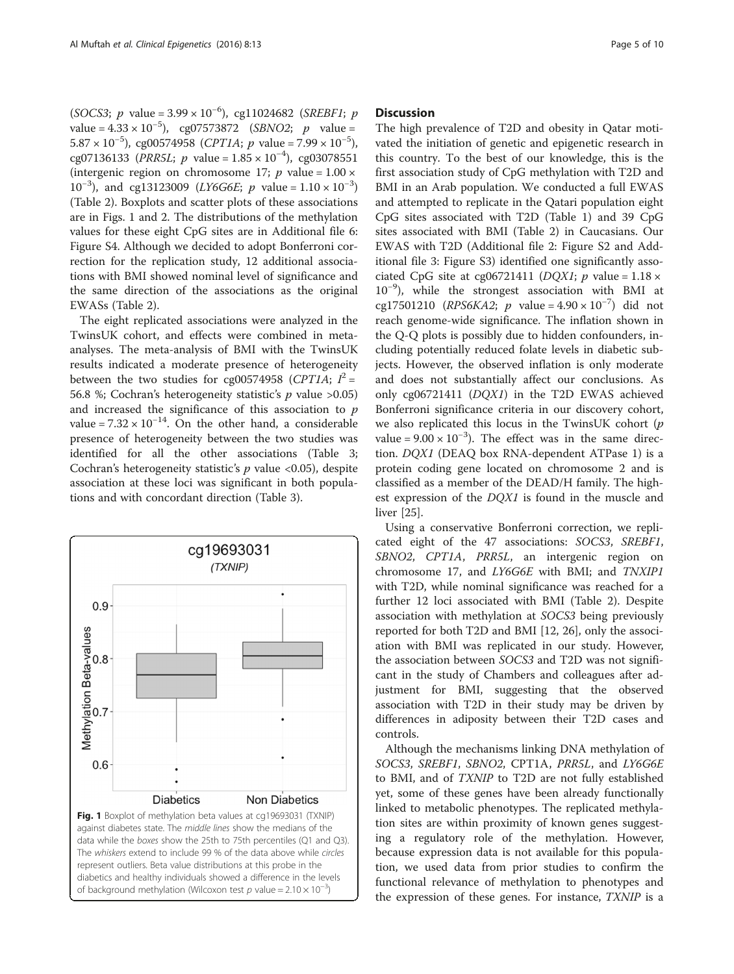(SOCS3; *p* value =  $3.99 \times 10^{-6}$ ), cg11024682 (SREBF1; *p* value =  $4.33 \times 10^{-5}$ ), cg07573872 (*SBNO2*; *p* value =  $5.87 \times 10^{-5}$ ), cg00574958 (CPT1A; p value = 7.99  $\times 10^{-5}$ ), cg07136133 (PRR5L; p value =  $1.85 \times 10^{-4}$ ), cg03078551 (intergenic region on chromosome 17;  $p$  value = 1.00  $\times$ 10<sup>-3</sup>), and cg13123009 (*LY6G6E*; *p* value =  $1.10 \times 10^{-3}$ ) (Table [2\)](#page-3-0). Boxplots and scatter plots of these associations are in Figs. 1 and [2.](#page-5-0) The distributions of the methylation values for these eight CpG sites are in Additional file [6](#page-8-0): Figure S4. Although we decided to adopt Bonferroni correction for the replication study, 12 additional associations with BMI showed nominal level of significance and the same direction of the associations as the original EWASs (Table [2](#page-3-0)).

The eight replicated associations were analyzed in the TwinsUK cohort, and effects were combined in metaanalyses. The meta-analysis of BMI with the TwinsUK results indicated a moderate presence of heterogeneity between the two studies for cg00574958 (CPT1A;  $I^2 =$ 56.8 %; Cochran's heterogeneity statistic's  $p$  value >0.05) and increased the significance of this association to  $p$ value =  $7.32 \times 10^{-14}$ . On the other hand, a considerable presence of heterogeneity between the two studies was identified for all the other associations (Table [3](#page-6-0); Cochran's heterogeneity statistic's  $p$  value <0.05), despite association at these loci was significant in both populations and with concordant direction (Table [3](#page-6-0)).



## **Discussion**

The high prevalence of T2D and obesity in Qatar motivated the initiation of genetic and epigenetic research in this country. To the best of our knowledge, this is the first association study of CpG methylation with T2D and BMI in an Arab population. We conducted a full EWAS and attempted to replicate in the Qatari population eight CpG sites associated with T2D (Table [1](#page-2-0)) and 39 CpG sites associated with BMI (Table [2\)](#page-3-0) in Caucasians. Our EWAS with T2D (Additional file [2:](#page-8-0) Figure S2 and Additional file [3:](#page-8-0) Figure S3) identified one significantly associated CpG site at cg06721411 ( $DQXI$ ; p value = 1.18  $\times$ 10−<sup>9</sup> ), while the strongest association with BMI at cg17501210 (RPS6KA2; p value =  $4.90 \times 10^{-7}$ ) did not reach genome-wide significance. The inflation shown in the Q-Q plots is possibly due to hidden confounders, including potentially reduced folate levels in diabetic subjects. However, the observed inflation is only moderate and does not substantially affect our conclusions. As only cg06721411 (DQX1) in the T2D EWAS achieved Bonferroni significance criteria in our discovery cohort, we also replicated this locus in the TwinsUK cohort  $(p)$ value =  $9.00 \times 10^{-3}$ ). The effect was in the same direction. DQX1 (DEAQ box RNA-dependent ATPase 1) is a protein coding gene located on chromosome 2 and is classified as a member of the DEAD/H family. The highest expression of the DQX1 is found in the muscle and liver [[25](#page-9-0)].

Using a conservative Bonferroni correction, we replicated eight of the 47 associations: SOCS3, SREBF1, SBNO2, CPT1A, PRR5L, an intergenic region on chromosome 17, and LY6G6E with BMI; and TNXIP1 with T2D, while nominal significance was reached for a further 12 loci associated with BMI (Table [2\)](#page-3-0). Despite association with methylation at SOCS3 being previously reported for both T2D and BMI [[12,](#page-8-0) [26](#page-9-0)], only the association with BMI was replicated in our study. However, the association between SOCS3 and T2D was not significant in the study of Chambers and colleagues after adjustment for BMI, suggesting that the observed association with T2D in their study may be driven by differences in adiposity between their T2D cases and controls.

Although the mechanisms linking DNA methylation of SOCS3, SREBF1, SBNO2, CPT1A, PRR5L, and LY6G6E to BMI, and of TXNIP to T2D are not fully established yet, some of these genes have been already functionally linked to metabolic phenotypes. The replicated methylation sites are within proximity of known genes suggesting a regulatory role of the methylation. However, because expression data is not available for this population, we used data from prior studies to confirm the functional relevance of methylation to phenotypes and the expression of these genes. For instance, TXNIP is a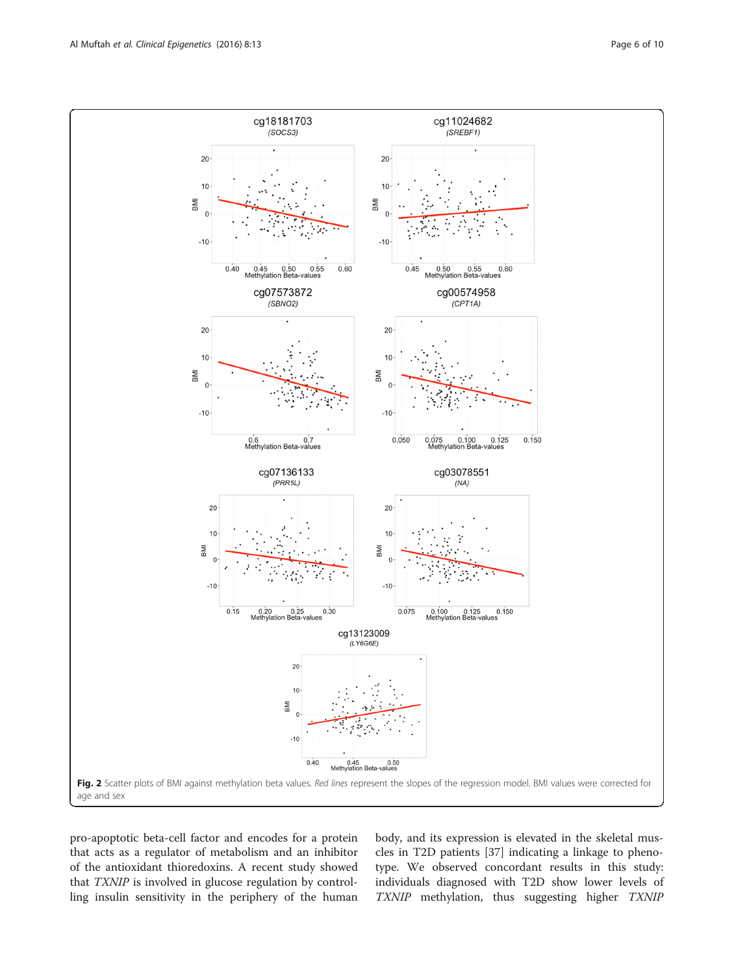<span id="page-5-0"></span>

pro-apoptotic beta-cell factor and encodes for a protein that acts as a regulator of metabolism and an inhibitor of the antioxidant thioredoxins. A recent study showed that TXNIP is involved in glucose regulation by controlling insulin sensitivity in the periphery of the human body, and its expression is elevated in the skeletal muscles in T2D patients [\[37](#page-9-0)] indicating a linkage to phenotype. We observed concordant results in this study: individuals diagnosed with T2D show lower levels of TXNIP methylation, thus suggesting higher TXNIP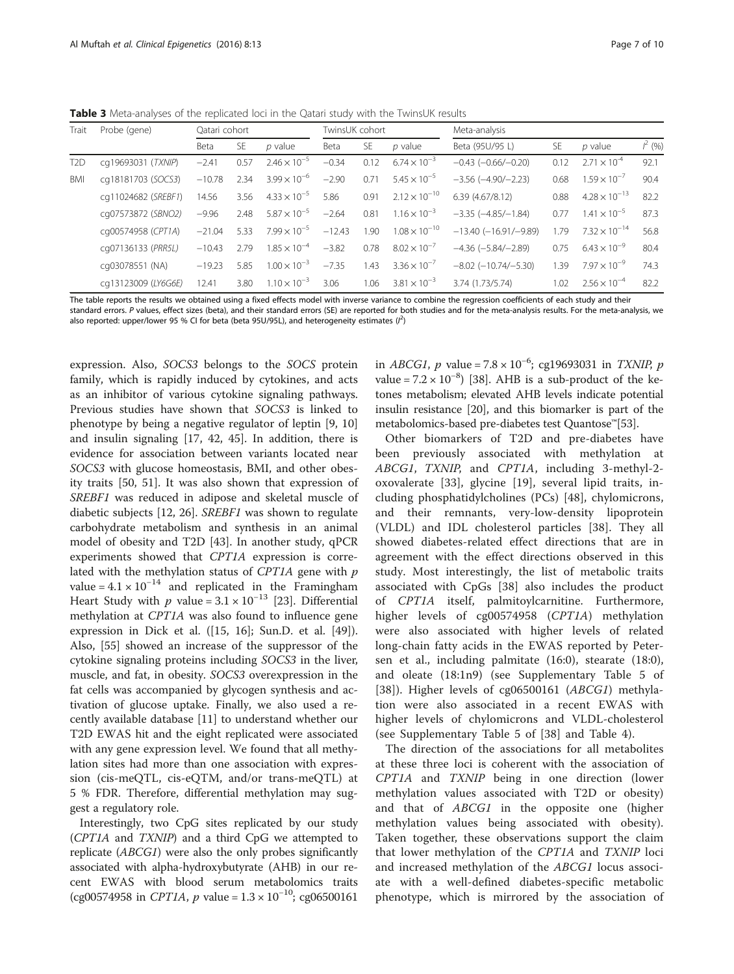<span id="page-6-0"></span>Table 3 Meta-analyses of the replicated loci in the Qatari study with the TwinsUK results

| Trait | Probe (gene)        | Oatari cohort |           |                       | TwinsUK cohort |           |                        | Meta-analysis                   |      |                        |           |
|-------|---------------------|---------------|-----------|-----------------------|----------------|-----------|------------------------|---------------------------------|------|------------------------|-----------|
|       |                     | Beta          | <b>SE</b> | $p$ value             | Beta           | <b>SE</b> | $p$ value              | Beta (95U/95 L)                 | SE.  | $p$ value              | $l^2$ (%) |
| T2D   | cq19693031 (TXNIP)  | $-2.41$       | 0.57      | $2.46 \times 10^{-5}$ | $-0.34$        | 0.12      | $6.74 \times 10^{-3}$  | $-0.43$ $(-0.66/-0.20)$         | 0.12 | $2.71 \times 10^{-4}$  | 92.1      |
| BMI   | cq18181703 (SOCS3)  | $-10.78$      | 2.34      | $3.99 \times 10^{-6}$ | $-2.90$        | 0.71      | $5.45 \times 10^{-5}$  | $-3.56$ $(-4.90/-2.23)$         | 0.68 | $1.59 \times 10^{-7}$  | 90.4      |
|       | cq11024682 (SREBF1) | 14.56         | 3.56      | $4.33 \times 10^{-5}$ | 5.86           | 0.91      | $2.12 \times 10^{-10}$ | 6.39(4.67/8.12)                 | 0.88 | $4.28 \times 10^{-13}$ | 82.2      |
|       | cq07573872 (SBNO2)  | $-9.96$       | 2.48      | $5.87 \times 10^{-5}$ | $-2.64$        | 0.81      | $1.16 \times 10^{-3}$  | $-3.35$ $(-4.85/-1.84)$         | 0.77 | $1.41 \times 10^{-5}$  | 87.3      |
|       | cq00574958 (CPT1A)  | $-21.04$      | 5.33      | $7.99 \times 10^{-5}$ | $-12.43$       | 1.90      | $1.08 \times 10^{-10}$ | $-13.40$ ( $-16.91$ / $-9.89$ ) | 1.79 | $7.32 \times 10^{-14}$ | 56.8      |
|       | cq07136133 (PRR5L)  | $-10.43$      | 2.79      | $1.85 \times 10^{-4}$ | $-3.82$        | 0.78      | $8.02 \times 10^{-7}$  | $-4.36$ $(-5.84/-2.89)$         | 0.75 | $6.43 \times 10^{-9}$  | 80.4      |
|       | cq03078551 (NA)     | $-19.23$      | 5.85      | $1.00 \times 10^{-3}$ | $-7.35$        | 1.43      | $3.36 \times 10^{-7}$  | $-8.02$ ( $-10.74$ / $-5.30$ )  | 1.39 | $7.97 \times 10^{-9}$  | 74.3      |
|       | cq13123009 (LY6G6E) | 12.41         | 3.80      | $1.10 \times 10^{-3}$ | 3.06           | 1.06      | $3.81 \times 10^{-3}$  | 3.74 (1.73/5.74)                | 1.02 | $2.56 \times 10^{-4}$  | 82.2      |

The table reports the results we obtained using a fixed effects model with inverse variance to combine the regression coefficients of each study and their standard errors. P values, effect sizes (beta), and their standard errors (SE) are reported for both studies and for the meta-analysis results. For the meta-analysis, we also reported: upper/lower 95 % CI for beta (beta 95U/95L), and heterogeneity estimates  $(l^2)$ 

expression. Also, SOCS3 belongs to the SOCS protein family, which is rapidly induced by cytokines, and acts as an inhibitor of various cytokine signaling pathways. Previous studies have shown that SOCS3 is linked to phenotype by being a negative regulator of leptin [\[9](#page-8-0), [10](#page-8-0)] and insulin signaling [\[17](#page-9-0), [42, 45](#page-9-0)]. In addition, there is evidence for association between variants located near SOCS3 with glucose homeostasis, BMI, and other obesity traits [\[50, 51](#page-9-0)]. It was also shown that expression of SREBF1 was reduced in adipose and skeletal muscle of diabetic subjects [\[12](#page-8-0), [26](#page-9-0)]. SREBF1 was shown to regulate carbohydrate metabolism and synthesis in an animal model of obesity and T2D [\[43](#page-9-0)]. In another study, qPCR experiments showed that CPT1A expression is correlated with the methylation status of  $CPT1A$  gene with  $p$ value =  $4.1 \times 10^{-14}$  and replicated in the Framingham Heart Study with p value =  $3.1 \times 10^{-13}$  [[23\]](#page-9-0). Differential methylation at CPT1A was also found to influence gene expression in Dick et al. ([[15,](#page-8-0) [16\]](#page-9-0); Sun.D. et al. [\[49](#page-9-0)]). Also, [[55](#page-9-0)] showed an increase of the suppressor of the cytokine signaling proteins including SOCS3 in the liver, muscle, and fat, in obesity. SOCS3 overexpression in the fat cells was accompanied by glycogen synthesis and activation of glucose uptake. Finally, we also used a recently available database [\[11](#page-8-0)] to understand whether our T2D EWAS hit and the eight replicated were associated with any gene expression level. We found that all methylation sites had more than one association with expression (cis-meQTL, cis-eQTM, and/or trans-meQTL) at 5 % FDR. Therefore, differential methylation may suggest a regulatory role.

Interestingly, two CpG sites replicated by our study (CPT1A and TXNIP) and a third CpG we attempted to replicate (ABCG1) were also the only probes significantly associated with alpha-hydroxybutyrate (AHB) in our recent EWAS with blood serum metabolomics traits (cg00574958 in CPT1A, p value =  $1.3 \times 10^{-10}$ ; cg06500161

in *ABCG1*, *p* value =  $7.8 \times 10^{-6}$ ; cg19693031 in *TXNIP*, *p* value =  $7.2 \times 10^{-8}$ ) [[38](#page-9-0)]. AHB is a sub-product of the ketones metabolism; elevated AHB levels indicate potential insulin resistance [\[20\]](#page-9-0), and this biomarker is part of the metabolomics-based pre-diabetes test Quantose™[[53](#page-9-0)].

Other biomarkers of T2D and pre-diabetes have been previously associated with methylation at ABCG1, TXNIP, and CPT1A, including 3-methyl-2 oxovalerate [[33\]](#page-9-0), glycine [\[19](#page-9-0)], several lipid traits, including phosphatidylcholines (PCs) [[48\]](#page-9-0), chylomicrons, and their remnants, very-low-density lipoprotein (VLDL) and IDL cholesterol particles [[38\]](#page-9-0). They all showed diabetes-related effect directions that are in agreement with the effect directions observed in this study. Most interestingly, the list of metabolic traits associated with CpGs [[38\]](#page-9-0) also includes the product of CPT1A itself, palmitoylcarnitine. Furthermore, higher levels of cg00574958 (CPT1A) methylation were also associated with higher levels of related long-chain fatty acids in the EWAS reported by Petersen et al., including palmitate (16:0), stearate (18:0), and oleate (18:1n9) (see Supplementary Table 5 of [[38\]](#page-9-0)). Higher levels of cg06500161 (ABCG1) methylation were also associated in a recent EWAS with higher levels of chylomicrons and VLDL-cholesterol (see Supplementary Table 5 of [[38\]](#page-9-0) and Table [4\)](#page-7-0).

The direction of the associations for all metabolites at these three loci is coherent with the association of CPT1A and TXNIP being in one direction (lower methylation values associated with T2D or obesity) and that of ABCG1 in the opposite one (higher methylation values being associated with obesity). Taken together, these observations support the claim that lower methylation of the CPT1A and TXNIP loci and increased methylation of the ABCG1 locus associate with a well-defined diabetes-specific metabolic phenotype, which is mirrored by the association of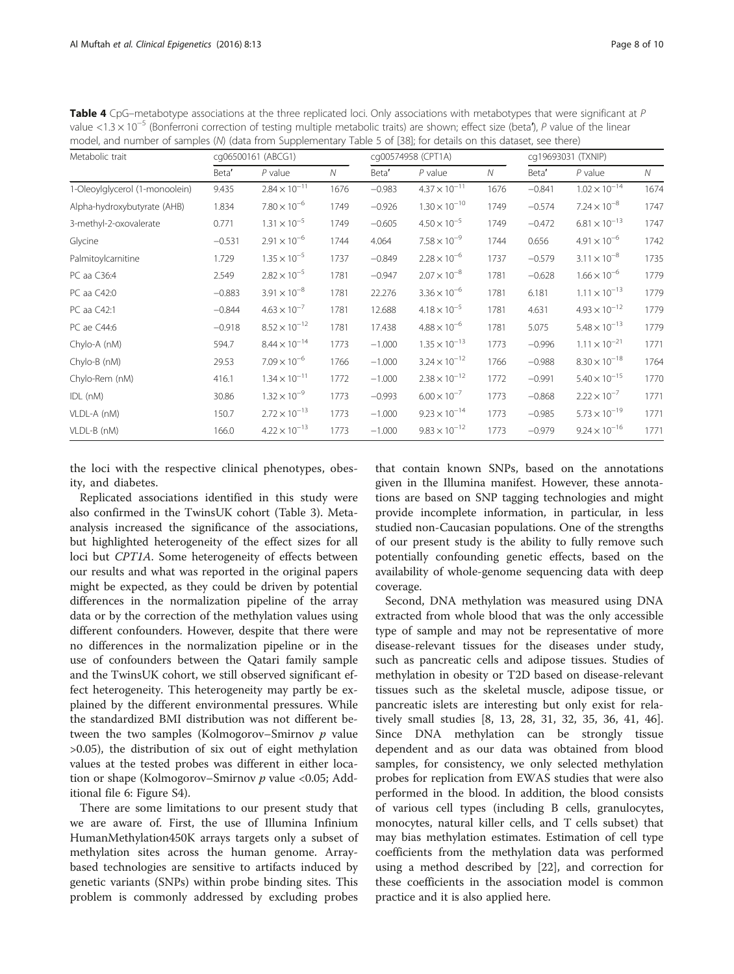| Metabolic trait                | cq06500161 (ABCG1) |                        |      | cg00574958 (CPT1A) |                        |      | cq19693031 (TXNIP) |                        |              |
|--------------------------------|--------------------|------------------------|------|--------------------|------------------------|------|--------------------|------------------------|--------------|
|                                | Beta'              | $P$ value              | N    | Beta'              | $P$ value              | N    | Beta'              | $P$ value              | $\mathcal N$ |
| 1-Oleoylglycerol (1-monoolein) | 9.435              | $2.84 \times 10^{-11}$ | 1676 | $-0.983$           | $4.37 \times 10^{-11}$ | 1676 | $-0.841$           | $1.02 \times 10^{-14}$ | 1674         |
| Alpha-hydroxybutyrate (AHB)    | 1.834              | $7.80 \times 10^{-6}$  | 1749 | $-0.926$           | $1.30 \times 10^{-10}$ | 1749 | $-0.574$           | $7.24 \times 10^{-8}$  | 1747         |
| 3-methyl-2-oxovalerate         | 0.771              | $1.31 \times 10^{-5}$  | 1749 | $-0.605$           | $4.50 \times 10^{-5}$  | 1749 | $-0.472$           | $6.81 \times 10^{-13}$ | 1747         |
| Glycine                        | $-0.531$           | $2.91 \times 10^{-6}$  | 1744 | 4.064              | $7.58 \times 10^{-9}$  | 1744 | 0.656              | $4.91 \times 10^{-6}$  | 1742         |
| Palmitoylcarnitine             | 1.729              | $1.35 \times 10^{-5}$  | 1737 | $-0.849$           | $2.28 \times 10^{-6}$  | 1737 | $-0.579$           | $3.11 \times 10^{-8}$  | 1735         |
| PC aa C36:4                    | 2.549              | $2.82 \times 10^{-5}$  | 1781 | $-0.947$           | $2.07 \times 10^{-8}$  | 1781 | $-0.628$           | $1.66 \times 10^{-6}$  | 1779         |
| PC aa C42:0                    | $-0.883$           | $3.91 \times 10^{-8}$  | 1781 | 22.276             | $3.36 \times 10^{-6}$  | 1781 | 6.181              | $1.11 \times 10^{-13}$ | 1779         |
| PC aa C42:1                    | $-0.844$           | $4.63 \times 10^{-7}$  | 1781 | 12.688             | $4.18 \times 10^{-5}$  | 1781 | 4.631              | $4.93 \times 10^{-12}$ | 1779         |
| PC ae C44:6                    | $-0.918$           | $8.52 \times 10^{-12}$ | 1781 | 17.438             | $4.88 \times 10^{-6}$  | 1781 | 5.075              | $5.48 \times 10^{-13}$ | 1779         |
| Chylo-A (nM)                   | 594.7              | $8.44 \times 10^{-14}$ | 1773 | $-1.000$           | $1.35 \times 10^{-13}$ | 1773 | $-0.996$           | $1.11 \times 10^{-21}$ | 1771         |
| Chylo-B (nM)                   | 29.53              | $7.09 \times 10^{-6}$  | 1766 | $-1.000$           | $3.24 \times 10^{-12}$ | 1766 | $-0.988$           | $8.30 \times 10^{-18}$ | 1764         |
| Chylo-Rem (nM)                 | 416.1              | $1.34 \times 10^{-11}$ | 1772 | $-1.000$           | $2.38 \times 10^{-12}$ | 1772 | $-0.991$           | $5.40 \times 10^{-15}$ | 1770         |
| IDL (nM)                       | 30.86              | $1.32 \times 10^{-9}$  | 1773 | $-0.993$           | $6.00 \times 10^{-7}$  | 1773 | $-0.868$           | $2.22 \times 10^{-7}$  | 1771         |
| VLDL-A (nM)                    | 150.7              | $2.72 \times 10^{-13}$ | 1773 | $-1.000$           | $9.23 \times 10^{-14}$ | 1773 | $-0.985$           | $5.73 \times 10^{-19}$ | 1771         |
| VLDL-B (nM)                    | 166.0              | $4.22 \times 10^{-13}$ | 1773 | $-1.000$           | $9.83 \times 10^{-12}$ | 1773 | $-0.979$           | $9.24 \times 10^{-16}$ | 1771         |

<span id="page-7-0"></span>Table 4 CpG–metabotype associations at the three replicated loci. Only associations with metabotypes that were significant at P value <1.3  $\times$  10<sup>-5</sup> (Bonferroni correction of testing multiple metabolic traits) are shown; effect size (beta<sup>\*</sup>), P value of the linear model, and number of samples (N) (data from Supplementary Table 5 of [[38](#page-9-0)]; for details on this dataset, see there)

the loci with the respective clinical phenotypes, obesity, and diabetes.

Replicated associations identified in this study were also confirmed in the TwinsUK cohort (Table [3\)](#page-6-0). Metaanalysis increased the significance of the associations, but highlighted heterogeneity of the effect sizes for all loci but CPT1A. Some heterogeneity of effects between our results and what was reported in the original papers might be expected, as they could be driven by potential differences in the normalization pipeline of the array data or by the correction of the methylation values using different confounders. However, despite that there were no differences in the normalization pipeline or in the use of confounders between the Qatari family sample and the TwinsUK cohort, we still observed significant effect heterogeneity. This heterogeneity may partly be explained by the different environmental pressures. While the standardized BMI distribution was not different between the two samples (Kolmogorov–Smirnov  $p$  value >0.05), the distribution of six out of eight methylation values at the tested probes was different in either location or shape (Kolmogorov–Smirnov  $p$  value <0.05; Additional file [6:](#page-8-0) Figure S4).

There are some limitations to our present study that we are aware of. First, the use of Illumina Infinium HumanMethylation450K arrays targets only a subset of methylation sites across the human genome. Arraybased technologies are sensitive to artifacts induced by genetic variants (SNPs) within probe binding sites. This problem is commonly addressed by excluding probes

that contain known SNPs, based on the annotations given in the Illumina manifest. However, these annotations are based on SNP tagging technologies and might provide incomplete information, in particular, in less studied non-Caucasian populations. One of the strengths of our present study is the ability to fully remove such potentially confounding genetic effects, based on the availability of whole-genome sequencing data with deep coverage.

Second, DNA methylation was measured using DNA extracted from whole blood that was the only accessible type of sample and may not be representative of more disease-relevant tissues for the diseases under study, such as pancreatic cells and adipose tissues. Studies of methylation in obesity or T2D based on disease-relevant tissues such as the skeletal muscle, adipose tissue, or pancreatic islets are interesting but only exist for relatively small studies [[8, 13,](#page-8-0) [28](#page-9-0), [31](#page-9-0), [32, 35, 36, 41](#page-9-0), [46](#page-9-0)]. Since DNA methylation can be strongly tissue dependent and as our data was obtained from blood samples, for consistency, we only selected methylation probes for replication from EWAS studies that were also performed in the blood. In addition, the blood consists of various cell types (including B cells, granulocytes, monocytes, natural killer cells, and T cells subset) that may bias methylation estimates. Estimation of cell type coefficients from the methylation data was performed using a method described by [\[22](#page-9-0)], and correction for these coefficients in the association model is common practice and it is also applied here.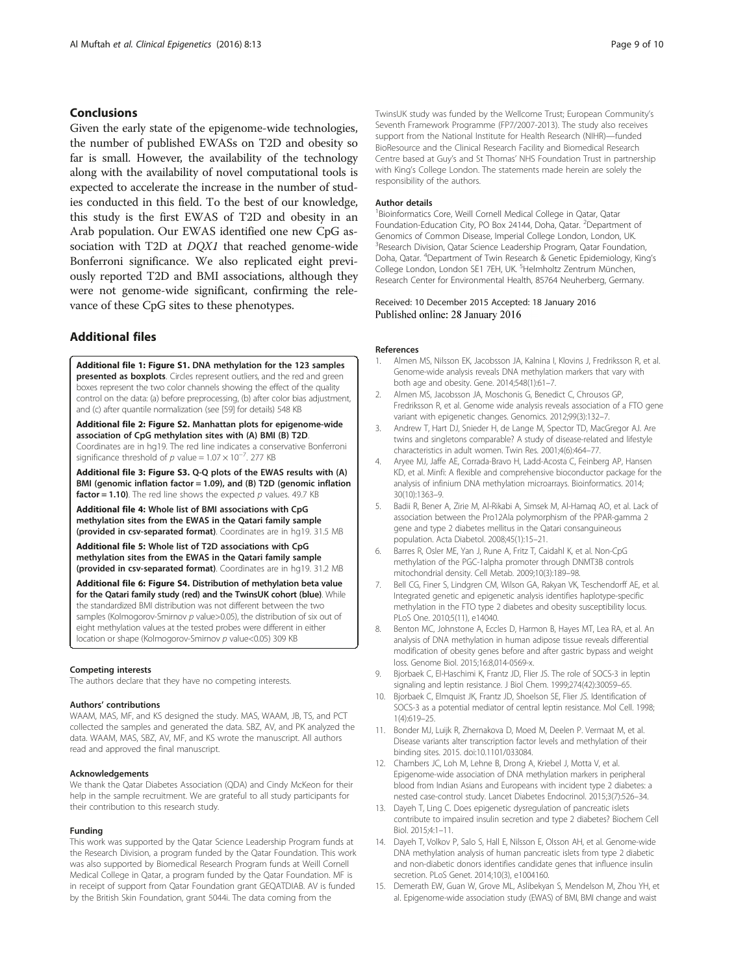## <span id="page-8-0"></span>**Conclusions**

Given the early state of the epigenome-wide technologies, the number of published EWASs on T2D and obesity so far is small. However, the availability of the technology along with the availability of novel computational tools is expected to accelerate the increase in the number of studies conducted in this field. To the best of our knowledge, this study is the first EWAS of T2D and obesity in an Arab population. Our EWAS identified one new CpG association with T2D at DQX1 that reached genome-wide Bonferroni significance. We also replicated eight previously reported T2D and BMI associations, although they were not genome-wide significant, confirming the relevance of these CpG sites to these phenotypes.

## Additional files

[Additional file 1: Figure S1.](dx.doi.org/10.1186/s13148-016-0177-6) DNA methylation for the 123 samples presented as boxplots. Circles represent outliers, and the red and green boxes represent the two color channels showing the effect of the quality control on the data: (a) before preprocessing, (b) after color bias adjustment, and (c) after quantile normalization (see [[59\]](#page-9-0) for details) 548 KB

[Additional file 2: Figure S2.](dx.doi.org/10.1186/s13148-016-0177-6) Manhattan plots for epigenome-wide association of CpG methylation sites with (A) BMI (B) T2D. Coordinates are in hg19. The red line indicates a conservative Bonferroni significance threshold of p value =  $1.07 \times 10^{-7}$ . 277 KB

[Additional file 3: Figure S3.](dx.doi.org/10.1186/s13148-016-0177-6) Q-Q plots of the EWAS results with (A) BMI (genomic inflation factor = 1.09), and (B) T2D (genomic inflation factor = 1.10). The red line shows the expected  $p$  values. 49.7 KB

[Additional file 4:](dx.doi.org/10.1186/s13148-016-0177-6) Whole list of BMI associations with CpG methylation sites from the EWAS in the Qatari family sample (provided in csv-separated format). Coordinates are in hg19. 31.5 MB

[Additional file 5:](dx.doi.org/10.1186/s13148-016-0177-6) Whole list of T2D associations with CpG methylation sites from the EWAS in the Qatari family sample (provided in csv-separated format). Coordinates are in hg19. 31.2 MB

[Additional file 6: Figure S4.](dx.doi.org/10.1186/s13148-016-0177-6) Distribution of methylation beta value for the Qatari family study (red) and the TwinsUK cohort (blue). While the standardized BMI distribution was not different between the two samples (Kolmogorov-Smirnov  $p$  value>0.05), the distribution of six out of eight methylation values at the tested probes were different in either location or shape (Kolmogorov-Smirnov p value<0.05) 309 KB

#### Competing interests

The authors declare that they have no competing interests.

#### Authors' contributions

WAAM, MAS, MF, and KS designed the study. MAS, WAAM, JB, TS, and PCT collected the samples and generated the data. SBZ, AV, and PK analyzed the data. WAAM, MAS, SBZ, AV, MF, and KS wrote the manuscript. All authors read and approved the final manuscript.

#### Acknowledgements

We thank the Qatar Diabetes Association (QDA) and Cindy McKeon for their help in the sample recruitment. We are grateful to all study participants for their contribution to this research study.

#### Funding

This work was supported by the Qatar Science Leadership Program funds at the Research Division, a program funded by the Qatar Foundation. This work was also supported by Biomedical Research Program funds at Weill Cornell Medical College in Qatar, a program funded by the Qatar Foundation. MF is in receipt of support from Qatar Foundation grant GEQATDIAB. AV is funded by the British Skin Foundation, grant 5044i. The data coming from the

TwinsUK study was funded by the Wellcome Trust; European Community's Seventh Framework Programme (FP7/2007-2013). The study also receives support from the National Institute for Health Research (NIHR)—funded BioResource and the Clinical Research Facility and Biomedical Research Centre based at Guy's and St Thomas' NHS Foundation Trust in partnership with King's College London. The statements made herein are solely the responsibility of the authors.

#### Author details

<sup>1</sup> Bioinformatics Core, Weill Cornell Medical College in Qatar, Qatar Foundation-Education City, PO Box 24144, Doha, Qatar. <sup>2</sup>Department of Genomics of Common Disease, Imperial College London, London, UK. <sup>3</sup> Research Division, Qatar Science Leadership Program, Qatar Foundation, Doha, Qatar. <sup>4</sup>Department of Twin Research & Genetic Epidemiology, King's College London, London SE1 7EH, UK. <sup>5</sup>Helmholtz Zentrum München Research Center for Environmental Health, 85764 Neuherberg, Germany.

#### Received: 10 December 2015 Accepted: 18 January 2016 Published online: 28 January 2016

#### References

- 1. Almen MS, Nilsson EK, Jacobsson JA, Kalnina I, Klovins J, Fredriksson R, et al. Genome-wide analysis reveals DNA methylation markers that vary with both age and obesity. Gene. 2014;548(1):61–7.
- 2. Almen MS, Jacobsson JA, Moschonis G, Benedict C, Chrousos GP, Fredriksson R, et al. Genome wide analysis reveals association of a FTO gene variant with epigenetic changes. Genomics. 2012;99(3):132–7.
- 3. Andrew T, Hart DJ, Snieder H, de Lange M, Spector TD, MacGregor AJ. Are twins and singletons comparable? A study of disease-related and lifestyle characteristics in adult women. Twin Res. 2001;4(6):464–77.
- 4. Aryee MJ, Jaffe AE, Corrada-Bravo H, Ladd-Acosta C, Feinberg AP, Hansen KD, et al. Minfi: A flexible and comprehensive bioconductor package for the analysis of infinium DNA methylation microarrays. Bioinformatics. 2014; 30(10):1363–9.
- 5. Badii R, Bener A, Zirie M, Al-Rikabi A, Simsek M, Al-Hamaq AO, et al. Lack of association between the Pro12Ala polymorphism of the PPAR-gamma 2 gene and type 2 diabetes mellitus in the Qatari consanguineous population. Acta Diabetol. 2008;45(1):15–21.
- 6. Barres R, Osler ME, Yan J, Rune A, Fritz T, Caidahl K, et al. Non-CpG methylation of the PGC-1alpha promoter through DNMT3B controls mitochondrial density. Cell Metab. 2009;10(3):189–98.
- 7. Bell CG, Finer S, Lindgren CM, Wilson GA, Rakyan VK, Teschendorff AE, et al. Integrated genetic and epigenetic analysis identifies haplotype-specific methylation in the FTO type 2 diabetes and obesity susceptibility locus. PLoS One. 2010;5(11), e14040.
- 8. Benton MC, Johnstone A, Eccles D, Harmon B, Hayes MT, Lea RA, et al. An analysis of DNA methylation in human adipose tissue reveals differential modification of obesity genes before and after gastric bypass and weight loss. Genome Biol. 2015;16:8,014-0569-x.
- 9. Bjorbaek C, El-Haschimi K, Frantz JD, Flier JS. The role of SOCS-3 in leptin signaling and leptin resistance. J Biol Chem. 1999;274(42):30059–65.
- 10. Bjorbaek C, Elmquist JK, Frantz JD, Shoelson SE, Flier JS. Identification of SOCS-3 as a potential mediator of central leptin resistance. Mol Cell. 1998; 1(4):619–25.
- 11. Bonder MJ, Luijk R, Zhernakova D, Moed M, Deelen P. Vermaat M, et al. Disease variants alter transcription factor levels and methylation of their binding sites. 2015. doi:[10.1101/033084](http://dx.doi.org/10.1101/033084).
- 12. Chambers JC, Loh M, Lehne B, Drong A, Kriebel J, Motta V, et al. Epigenome-wide association of DNA methylation markers in peripheral blood from Indian Asians and Europeans with incident type 2 diabetes: a nested case-control study. Lancet Diabetes Endocrinol. 2015;3(7):526–34.
- 13. Dayeh T, Ling C. Does epigenetic dysregulation of pancreatic islets contribute to impaired insulin secretion and type 2 diabetes? Biochem Cell Biol. 2015;4:1–11.
- 14. Dayeh T, Volkov P, Salo S, Hall E, Nilsson E, Olsson AH, et al. Genome-wide DNA methylation analysis of human pancreatic islets from type 2 diabetic and non-diabetic donors identifies candidate genes that influence insulin secretion. PLoS Genet. 2014;10(3), e1004160.
- 15. Demerath EW, Guan W, Grove ML, Aslibekyan S, Mendelson M, Zhou YH, et al. Epigenome-wide association study (EWAS) of BMI, BMI change and waist